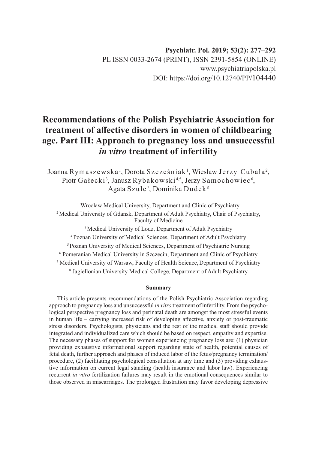# **Recommendations of the Polish Psychiatric Association for treatment of affective disorders in women of childbearing age. Part III: Approach to pregnancy loss and unsuccessful**  *in vitro* **treatment of infertility**

Joanna Rymaszewska', Dorota Szcześniak', Wiesław Jerzy Cubała<sup>2</sup>, Piotr Gałecki<sup>3</sup>, Janusz Rybakowski<sup>4,5</sup>, Jerzy Samochowiec<sup>6</sup>, Agata Szulc $^7$ , Dominika Dudek $^8$ 

<sup>1</sup> Wroclaw Medical University, Department and Clinic of Psychiatry <sup>2</sup> Medical University of Gdansk, Department of Adult Psychiatry, Chair of Psychiatry, Faculty of Medicine

<sup>3</sup> Medical University of Lodz, Department of Adult Psychiatry <sup>4</sup>Poznan University of Medical Sciences, Department of Adult Psychiatry <sup>5</sup> Poznan University of Medical Sciences, Department of Psychiatric Nursing <sup>6</sup> Pomeranian Medical University in Szczecin, Department and Clinic of Psychiatry 7 Medical University of Warsaw, Faculty of Health Science,Department of Psychiatry 8 Jagiellonian University Medical College, Department of Adult Psychiatry

#### **Summary**

This article presents recommendations of the Polish Psychiatric Association regarding approach to pregnancy loss and unsuccessful *in vitro* treatment of infertility. From the psychological perspective pregnancy loss and perinatal death are amongst the most stressful events in human life – carrying increased risk of developing affective, anxiety or post-traumatic stress disorders. Psychologists, physicians and the rest of the medical staff should provide integrated and individualized care which should be based on respect, empathy and expertise. The necessary phases of support for women experiencing pregnancy loss are: (1) physician providing exhaustive informational support regarding state of health, potential causes of fetal death, further approach and phases of induced labor of the fetus/pregnancy termination/ procedure, (2) facilitating psychological consultation at any time and (3) providing exhaustive information on current legal standing (health insurance and labor law). Experiencing recurrent *in vitro* fertilization failures may result in the emotional consequences similar to those observed in miscarriages. The prolonged frustration may favor developing depressive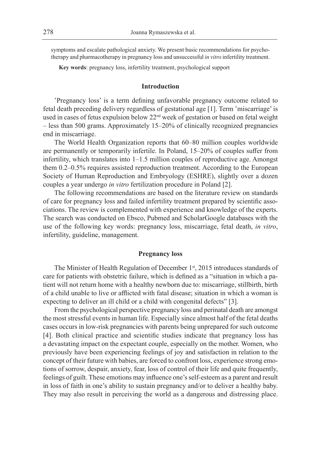symptoms and escalate pathological anxiety. We present basic recommendations for psychotherapy and pharmacotherapy in pregnancy loss and unsuccessful *in vitro* infertility treatment.

**Key words**: pregnancy loss, infertility treatment, psychological support

#### **Introduction**

'Pregnancy loss' is a term defining unfavorable pregnancy outcome related to fetal death preceding delivery regardless of gestational age [1]. Term 'miscarriage' is used in cases of fetus expulsion below 22<sup>nd</sup> week of gestation or based on fetal weight – less than 500 grams. Approximately 15–20% of clinically recognized pregnancies end in miscarriage.

The World Health Organization reports that 60–80 million couples worldwide are permanently or temporarily infertile. In Poland, 15–20% of couples suffer from infertility, which translates into 1–1.5 million couples of reproductive age. Amongst them 0.2–0.5% requires assisted reproduction treatment. According to the European Society of Human Reproduction and Embryology (ESHRE), slightly over a dozen couples a year undergo *in vitro* fertilization procedure in Poland [2].

The following recommendations are based on the literature review on standards of care for pregnancy loss and failed infertility treatment prepared by scientific associations. The review is complemented with experience and knowledge of the experts. The search was conducted on Ebsco, Pubmed and ScholarGoogle databases with the use of the following key words: pregnancy loss, miscarriage, fetal death, *in vitro*, infertility, guideline, management.

#### **Pregnancy loss**

The Minister of Health Regulation of December 1<sup>st</sup>, 2015 introduces standards of care for patients with obstetric failure, which is defined as a "situation in which a patient will not return home with a healthy newborn due to: miscarriage, stillbirth, birth of a child unable to live or afflicted with fatal disease; situation in which a woman is expecting to deliver an ill child or a child with congenital defects" [3].

From the psychological perspective pregnancy loss and perinatal death are amongst the most stressful events in human life. Especially since almost half of the fetal deaths cases occurs in low-risk pregnancies with parents being unprepared for such outcome [4]. Both clinical practice and scientific studies indicate that pregnancy loss has a devastating impact on the expectant couple, especially on the mother. Women, who previously have been experiencing feelings of joy and satisfaction in relation to the concept of their future with babies, are forced to confront loss, experience strong emotions of sorrow, despair, anxiety, fear, loss of control of their life and quite frequently, feelings of guilt. These emotions may influence one's self-esteem as a parent and result in loss of faith in one's ability to sustain pregnancy and/or to deliver a healthy baby. They may also result in perceiving the world as a dangerous and distressing place.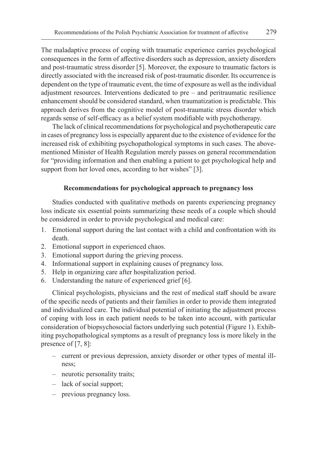The maladaptive process of coping with traumatic experience carries psychological consequences in the form of affective disorders such as depression, anxiety disorders and post-traumatic stress disorder [5]. Moreover, the exposure to traumatic factors is directly associated with the increased risk of post-traumatic disorder. Its occurrence is dependent on the type of traumatic event, the time of exposure as well as the individual adjustment resources. Interventions dedicated to pre – and peritraumatic resilience enhancement should be considered standard, when traumatization is predictable. This approach derives from the cognitive model of post-traumatic stress disorder which regards sense of self-efficacy as a belief system modifiable with psychotherapy.

The lack of clinical recommendations for psychological and psychotherapeutic care in cases of pregnancy loss is especially apparent due to the existence of evidence for the increased risk of exhibiting psychopathological symptoms in such cases. The abovementioned Minister of Health Regulation merely passes on general recommendation for "providing information and then enabling a patient to get psychological help and support from her loved ones, according to her wishes" [3].

## **Recommendations for psychological approach to pregnancy loss**

Studies conducted with qualitative methods on parents experiencing pregnancy loss indicate six essential points summarizing these needs of a couple which should be considered in order to provide psychological and medical care:

- 1. Emotional support during the last contact with a child and confrontation with its death.
- 2. Emotional support in experienced chaos.
- 3. Emotional support during the grieving process.
- 4. Informational support in explaining causes of pregnancy loss.
- 5. Help in organizing care after hospitalization period.
- 6. Understanding the nature of experienced grief [6].

Clinical psychologists, physicians and the rest of medical staff should be aware of the specific needs of patients and their families in order to provide them integrated and individualized care. The individual potential of initiating the adjustment process of coping with loss in each patient needs to be taken into account, with particular consideration of biopsychosocial factors underlying such potential (Figure 1). Exhibiting psychopathological symptoms as a result of pregnancy loss is more likely in the presence of [7, 8]:

- current or previous depression, anxiety disorder or other types of mental illness;
- neurotic personality traits;
- lack of social support;
- previous pregnancy loss.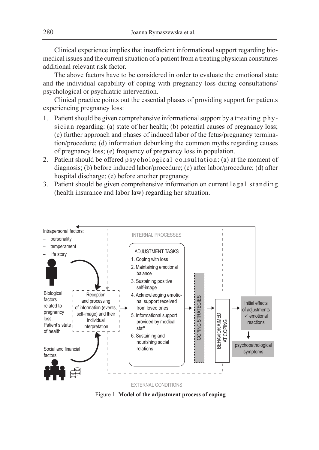Clinical experience implies that insufficient informational support regarding biomedical issues and the current situation of a patient from a treating physician constitutes additional relevant risk factor.

The above factors have to be considered in order to evaluate the emotional state and the individual capability of coping with pregnancy loss during consultations/ psychological or psychiatric intervention.

Clinical practice points out the essential phases of providing support for patients experiencing pregnancy loss:

- 1. Patient should be given comprehensive informational support by a treating physician regarding: (a) state of her health; (b) potential causes of pregnancy loss; (c) further approach and phases of induced labor of the fetus/pregnancy termination/procedure; (d) information debunking the common myths regarding causes of pregnancy loss; (e) frequency of pregnancy loss in population.
- 2. Patient should be offered psychological consultation: (a) at the moment of diagnosis; (b) before induced labor/procedure; (c) after labor/procedure; (d) after hospital discharge; (e) before another pregnancy.
- 3. Patient should be given comprehensive information on current legal standing (health insurance and labor law) regarding her situation.



Figure 1. **Model of the adjustment process of coping**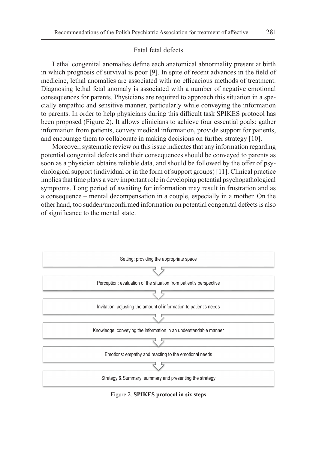#### Fatal fetal defects

Lethal congenital anomalies define each anatomical abnormality present at birth in which prognosis of survival is poor [9]. In spite of recent advances in the field of medicine, lethal anomalies are associated with no efficacious methods of treatment. Diagnosing lethal fetal anomaly is associated with a number of negative emotional consequences for parents. Physicians are required to approach this situation in a specially empathic and sensitive manner, particularly while conveying the information to parents. In order to help physicians during this difficult task SPIKES protocol has been proposed (Figure 2). It allows clinicians to achieve four essential goals: gather information from patients, convey medical information, provide support for patients, and encourage them to collaborate in making decisions on further strategy [10].

Moreover, systematic review on this issue indicates that any information regarding potential congenital defects and their consequences should be conveyed to parents as soon as a physician obtains reliable data, and should be followed by the offer of psychological support (individual or in the form of support groups) [11]. Clinical practice implies that time plays a very important role in developing potential psychopathological symptoms. Long period of awaiting for information may result in frustration and as a consequence – mental decompensation in a couple, especially in a mother. On the other hand, too sudden/unconfirmed information on potential congenital defects is also of significance to the mental state.



Figure 2. **SPIKES protocol in six steps**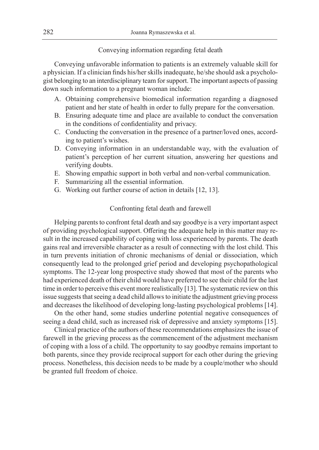#### Conveying information regarding fetal death

Conveying unfavorable information to patients is an extremely valuable skill for a physician. If a clinician finds his/her skills inadequate, he/she should ask a psychologist belonging to an interdisciplinary team for support. The important aspects of passing down such information to a pregnant woman include:

- A. Obtaining comprehensive biomedical information regarding a diagnosed patient and her state of health in order to fully prepare for the conversation.
- B. Ensuring adequate time and place are available to conduct the conversation in the conditions of confidentiality and privacy.
- C. Conducting the conversation in the presence of a partner/loved ones, according to patient's wishes.
- D. Conveying information in an understandable way, with the evaluation of patient's perception of her current situation, answering her questions and verifying doubts.
- E. Showing empathic support in both verbal and non-verbal communication.
- F. Summarizing all the essential information.
- G. Working out further course of action in details [12, 13].

#### Confronting fetal death and farewell

Helping parents to confront fetal death and say goodbye is a very important aspect of providing psychological support. Offering the adequate help in this matter may result in the increased capability of coping with loss experienced by parents. The death gains real and irreversible character as a result of connecting with the lost child. This in turn prevents initiation of chronic mechanisms of denial or dissociation, which consequently lead to the prolonged grief period and developing psychopathological symptoms. The 12-year long prospective study showed that most of the parents who had experienced death of their child would have preferred to see their child for the last time in order to perceive this event more realistically [13]. The systematic review on this issue suggests that seeing a dead child allows to initiate the adjustment grieving process and decreases the likelihood of developing long-lasting psychological problems [14].

On the other hand, some studies underline potential negative consequences of seeing a dead child, such as increased risk of depressive and anxiety symptoms [15].

Clinical practice of the authors of these recommendations emphasizes the issue of farewell in the grieving process as the commencement of the adjustment mechanism of coping with a loss of a child. The opportunity to say goodbye remains important to both parents, since they provide reciprocal support for each other during the grieving process. Nonetheless, this decision needs to be made by a couple/mother who should be granted full freedom of choice.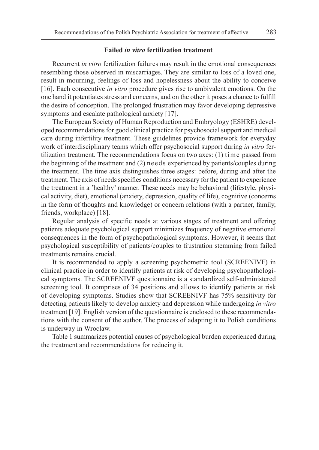## **Failed** *in vitro* **fertilization treatment**

Recurrent *in vitro* fertilization failures may result in the emotional consequences resembling those observed in miscarriages. They are similar to loss of a loved one, result in mourning, feelings of loss and hopelessness about the ability to conceive [16]. Each consecutive *in vitro* procedure gives rise to ambivalent emotions. On the one hand it potentiates stress and concerns, and on the other it poses a chance to fulfill the desire of conception. The prolonged frustration may favor developing depressive symptoms and escalate pathological anxiety [17].

The European Society of Human Reproduction and Embryology (ESHRE) developed recommendations for good clinical practice for psychosocial support and medical care during infertility treatment. These guidelines provide framework for everyday work of interdisciplinary teams which offer psychosocial support during *in vitro* fertilization treatment. The recommendations focus on two axes: (1) time passed from the beginning of the treatment and (2) needs experienced by patients/couples during the treatment. The time axis distinguishes three stages: before, during and after the treatment. The axis of needs specifies conditions necessary for the patient to experience the treatment in a 'healthy' manner. These needs may be behavioral (lifestyle, physical activity, diet), emotional (anxiety, depression, quality of life), cognitive (concerns in the form of thoughts and knowledge) or concern relations (with a partner, family, friends, workplace) [18].

Regular analysis of specific needs at various stages of treatment and offering patients adequate psychological support minimizes frequency of negative emotional consequences in the form of psychopathological symptoms. However, it seems that psychological susceptibility of patients/couples to frustration stemming from failed treatments remains crucial.

It is recommended to apply a screening psychometric tool (SCREENIVF) in clinical practice in order to identify patients at risk of developing psychopathological symptoms. The SCREENIVF questionnaire is a standardized self-administered screening tool. It comprises of 34 positions and allows to identify patients at risk of developing symptoms. Studies show that SCREENIVF has 75% sensitivity for detecting patients likely to develop anxiety and depression while undergoing *in vitro* treatment [19]. English version of the questionnaire is enclosed to these recommendations with the consent of the author. The process of adapting it to Polish conditions is underway in Wroclaw.

Table 1 summarizes potential causes of psychological burden experienced during the treatment and recommendations for reducing it.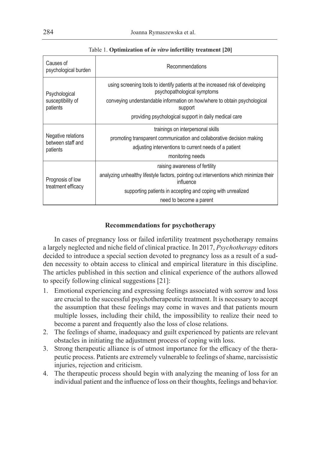| Causes of<br>psychological burden                   | Recommendations                                                                                               |  |  |  |
|-----------------------------------------------------|---------------------------------------------------------------------------------------------------------------|--|--|--|
| Psychological<br>susceptibility of<br>patients      | using screening tools to identify patients at the increased risk of developing<br>psychopathological symptoms |  |  |  |
|                                                     | conveying understandable information on how/where to obtain psychological<br>support                          |  |  |  |
|                                                     | providing psychological support in daily medical care                                                         |  |  |  |
| Negative relations<br>between staff and<br>patients | trainings on interpersonal skills                                                                             |  |  |  |
|                                                     | promoting transparent communication and collaborative decision making                                         |  |  |  |
|                                                     | adjusting interventions to current needs of a patient                                                         |  |  |  |
|                                                     | monitoring needs                                                                                              |  |  |  |
|                                                     | raising awareness of fertility                                                                                |  |  |  |
| Prognosis of low<br>treatment efficacy              | analyzing unhealthy lifestyle factors, pointing out interventions which minimize their<br>influence           |  |  |  |
|                                                     | supporting patients in accepting and coping with unrealized                                                   |  |  |  |
|                                                     | need to become a parent                                                                                       |  |  |  |

Table 1. **Optimization of** *in vitro* **infertility treatment [20]**

# **Recommendations for psychotherapy**

In cases of pregnancy loss or failed infertility treatment psychotherapy remains a largely neglected and niche field of clinical practice. In 2017, *Psychotherapy* editors decided to introduce a special section devoted to pregnancy loss as a result of a sudden necessity to obtain access to clinical and empirical literature in this discipline. The articles published in this section and clinical experience of the authors allowed to specify following clinical suggestions [21]:

- 1. Emotional experiencing and expressing feelings associated with sorrow and loss are crucial to the successful psychotherapeutic treatment. It is necessary to accept the assumption that these feelings may come in waves and that patients mourn multiple losses, including their child, the impossibility to realize their need to become a parent and frequently also the loss of close relations.
- 2. The feelings of shame, inadequacy and guilt experienced by patients are relevant obstacles in initiating the adjustment process of coping with loss.
- 3. Strong therapeutic alliance is of utmost importance for the efficacy of the therapeutic process. Patients are extremely vulnerable to feelings of shame, narcissistic injuries, rejection and criticism.
- 4. The therapeutic process should begin with analyzing the meaning of loss for an individual patient and the influence of loss on their thoughts, feelings and behavior.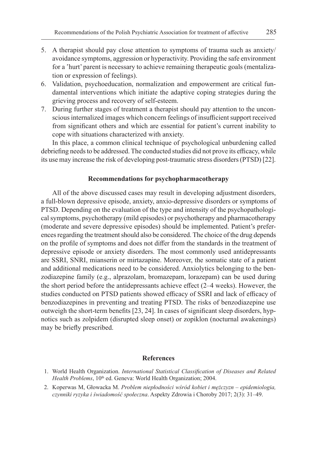- 5. A therapist should pay close attention to symptoms of trauma such as anxiety/ avoidance symptoms, aggression or hyperactivity. Providing the safe environment for a 'hurt' parent is necessary to achieve remaining therapeutic goals (mentalization or expression of feelings).
- 6. Validation, psychoeducation, normalization and empowerment are critical fundamental interventions which initiate the adaptive coping strategies during the grieving process and recovery of self-esteem.
- 7. During further stages of treatment a therapist should pay attention to the unconscious internalized images which concern feelings of insufficient support received from significant others and which are essential for patient's current inability to cope with situations characterized with anxiety.

In this place, a common clinical technique of psychological unburdening called debriefing needs to be addressed. The conducted studies did not prove its efficacy, while its use may increase the risk of developing post-traumatic stress disorders (PTSD) [22].

#### **Recommendations for psychopharmacotherapy**

All of the above discussed cases may result in developing adjustment disorders, a full-blown depressive episode, anxiety, anxio-depressive disorders or symptoms of PTSD. Depending on the evaluation of the type and intensity of the psychopathological symptoms, psychotherapy (mild episodes) or psychotherapy and pharmacotherapy (moderate and severe depressive episodes) should be implemented. Patient's preferences regarding the treatment should also be considered. The choice of the drug depends on the profile of symptoms and does not differ from the standards in the treatment of depressive episode or anxiety disorders. The most commonly used antidepressants are SSRI, SNRI, mianserin or mirtazapine. Moreover, the somatic state of a patient and additional medications need to be considered. Anxiolytics belonging to the benzodiazepine family (e.g., alprazolam, bromazepam, lorazepam) can be used during the short period before the antidepressants achieve effect (2–4 weeks). However, the studies conducted on PTSD patients showed efficacy of SSRI and lack of efficacy of benzodiazepines in preventing and treating PTSD. The risks of benzodiazepine use outweigh the short-term benefits [23, 24]. In cases of significant sleep disorders, hypnotics such as zolpidem (disrupted sleep onset) or zopiklon (nocturnal awakenings) may be briefly prescribed.

#### **References**

- 1. World Health Organization. *International Statistical Classification of Diseases and Related Health Problems*, 10<sup>th</sup> ed. Geneva: World Health Organization; 2004.
- 2. Koperwas M, Głowacka M. *Problem niepłodności wśród kobiet i mężczyzn epidemiologia, czynniki ryzyka i świadomość społeczna*. Aspekty Zdrowia i Choroby 2017; 2(3): 31–49.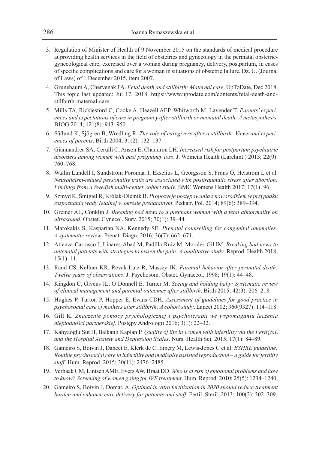- 3. Regulation of Minister of Health of 9 November 2015 on the standards of medical procedure at providing health services in the field of obstetrics and gynecology in the perinatal obstetricgynecological care, exercised over a woman during pregnancy, delivery, postpartum, in cases of specific complications and care for a woman in situations of obstetric failure. Dz. U. (Journal of Laws) of 1 December 2015, item 2007.
- 4. Grunebaum A, Chervenak FA. *Fetal death and stillbirth: Maternal care*. UpToDate, Dec 2018. This topic last updated: Jul 17, 2018. https://www.uptodate.com/contents/fetal-death-andstillbirth-maternal-care.
- 5. Mills TA, Ricklesford C, Cooke A, Heazell AEP, Whitworth M, Lavender T. *Parents' experiences and expectations of care in pregnancy after stillbirth or neonatal death: A metasynthesis*. BJOG 2014; 121(8): 943–950.
- 6. Säflund K, Sjögren B, Wredling R. *The role of caregivers after a stillbirth: Views and experiences of parents*. Birth 2004; 31(2): 132–137.
- 7. Giannandrea SA, Cerulli C, Anson E, Chaudron LH. *Increased risk for postpartum psychiatric disorders among women with past pregnancy loss*. J. Womens Health (Larchmt.) 2013; 22(9): 760–768.
- 8. Wallin Lundell I, Sundström Poromaa I, Ekselius L, Georgsson S, Frans Ö, Helström L et al. *Neuroticism-related personality traits are associated with posttraumatic stress after abortion: Findings from a Swedish multi-center cohort study*. BMC Womens Health 2017; 17(1): 96.
- 9. Szmyd K, Śmigiel R, Królak-Olejnik B. *Propozycje postępowania z noworodkiem w przypadku rozpoznania wady letalnej w okresie prenatalnym*. Pediatr. Pol. 2014; 89(6): 389–394.
- 10. Greiner AL, Conklin J. *Breaking bad news to a pregnant woman with a fetal abnormality on ultrasound*. Obstet. Gynecol. Surv. 2015; 70(1): 39–44.
- 11. Marokakis S, Kasparian NA, Kennedy SE. *Prenatal counselling for congenital anomalies: A systematic review*. Prenat. Diagn. 2016; 36(7): 662–671.
- 12. Atienza-Carrasco J, Linares-Abad M, Padilla-Ruiz M, Morales-Gil IM. *Breaking bad news to antenatal patients with strategies to lessen the pain: A qualitative study*. Reprod. Health 2018; 15(1): 11.
- 13. Rand CS, Kellner KR, Revak-Lutz R, Massey JK. *Parental behavior after perinatal death: Twelve years of observations*. J. Psychosom. Obstet. Gynaecol. 1998; 19(1): 44–48.
- 14. Kingdon C, Givens JL, O'Donnell E, Turner M. *Seeing and holding baby: Systematic review of clinical management and parental outcomes after stillbirth*. Birth 2015; 42(3): 206–218.
- 15. Hughes P, Turton P, Hopper E, Evans CDH. *Assessment of guidelines for good practice in psychosocial care of mothers after stillbirth: A cohort study*. Lancet 2002; 360(9327): 114–118.
- 16. Gill K. *Znaczenie pomocy psychologicznej i psychoterapii we wspomaganiu leczenia niepłodności partnerskiej*. Postępy Andrologii 2016; 3(1): 22–32.
- 17. Kahyaoglu Sut H, Balkanli Kaplan P. *Quality of life in women with infertility via the FertiQoL and the Hospital Anxiety and Depression Scales*. Nurs. Health Sci. 2015; 17(1): 84–89.
- 18. Gameiro S, Boivin J, Dancet E, Klerk de C, Emery M, Lewis-Jones C et al. *ESHRE guideline: Routine psychosocial care in infertility and medically assisted reproduction – a guide for fertility staff*. Hum. Reprod. 2015; 30(11): 2476–2485.
- 19. Verhaak CM, Lintsen AME, Evers AW, Braat DD. *Who is at risk of emotional problems and how to know? Screening of women going for IVF treatment*. Hum. Reprod. 2010; 25(5): 1234–1240.
- 20. Gameiro S, Boivin J, Domar, A. *Optimal in vitro fertilization in 2020 should reduce treatment burden and enhance care delivery for patients and staff*. Fertil. Steril. 2013; 100(2): 302–309.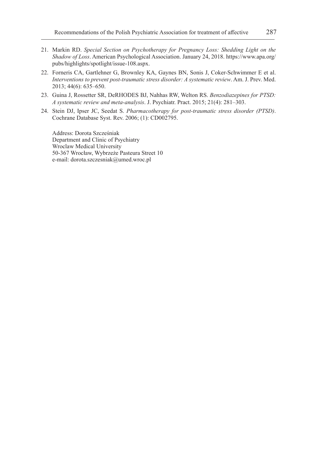- 21. Markin RD. *Special Section on Psychotherapy for Pregnancy Loss: Shedding Light on the Shadow of Loss*. American Psychological Association. January 24, 2018. https://www.apa.org/ pubs/highlights/spotlight/issue-108.aspx.
- 22. Forneris CA, Gartlehner G, Brownley KA, Gaynes BN, Sonis J, Coker-Schwimmer E et al. *Interventions to prevent post-traumatic stress disorder: A systematic review*. Am. J. Prev. Med. 2013; 44(6): 635–650.
- 23. Guina J, Rossetter SR, DeRHODES BJ, Nahhas RW, Welton RS. *Benzodiazepines for PTSD: A systematic review and meta-analysis*. J. Psychiatr. Pract. 2015; 21(4): 281–303.
- 24. Stein DJ, Ipser JC, Seedat S. *Pharmacotherapy for post-traumatic stress disorder (PTSD)*. Cochrane Database Syst. Rev. 2006; (1): CD002795.

Address: Dorota Szcześniak Department and Clinic of Psychiatry Wroclaw Medical University 50-367 Wrocław, Wybrzeże Pasteura Street 10 e-mail: dorota.szczesniak@umed.wroc.pl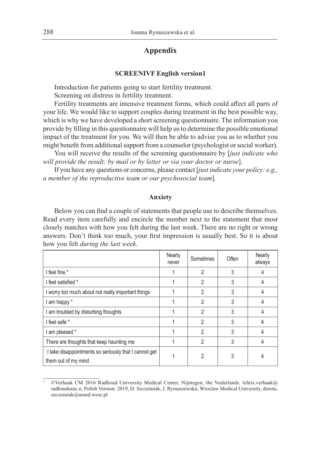# **Appendix**

#### **SCREENIVF English version1**

Introduction for patients going to start fertility treatment. Screening on distress in fertility treatment.

Fertility treatments are intensive treatment forms, which could affect all parts of your life. We would like to support couples during treatment in the best possible way, which is why we have developed a short screening questionnaire. The information you provide by filling in this questionnaire will help us to determine the possible emotional impact of the treatment for you. We will then be able to advise you as to whether you might benefit from additional support from a counselor (psychologist or social worker).

You will receive the results of the screening questionnaire by [*just indicate who will provide the result: by mail or by letter or via your doctor or nurse*]*.*

If you have any questions or concerns, please contact [*just indicate your policy: e.g., a member of the reproductive team or our psychosocial team*]*.*

#### **Anxiety**

Below you can find a couple of statements that people use to describe themselves. Read every item carefully and encircle the number next to the statement that most closely matches with how you felt during the last week. There are no right or wrong answers. Don't think too much, your first impression is usually best. So it is about how you felt *during the last week*.

|                                                                              | Nearly<br>never | Sometimes | Often | Nearly<br>always |
|------------------------------------------------------------------------------|-----------------|-----------|-------|------------------|
| I feel fine.*                                                                |                 | 2         | 3     |                  |
| I feel satisfied *                                                           |                 | 2         | 3     |                  |
| I worry too much about not really important things                           |                 | 2         |       |                  |
| am happy *                                                                   |                 | 2         | 3     |                  |
| am troubled by disturbing thoughts                                           |                 | 2         | 3     | 4                |
| I feel safe *                                                                |                 | 2         | 3     |                  |
| I am pleased *                                                               |                 | 2         | 3     |                  |
| There are thoughts that keep haunting me                                     |                 | 2         | 3     |                  |
| I take disappointments so seriously that I cannot get<br>them out of my mind |                 |           |       |                  |

<sup>©</sup>Verhaak CM 2016 Radboud University Medical Center, Nijmegen, the Nederlands. lchris.verhaak@ radboudumc.n. Polish Version: 2019, D. Szcześniak, J. Rymaszewska, Wroclaw Medical University, dorota. szczesniak@umed.wroc.pl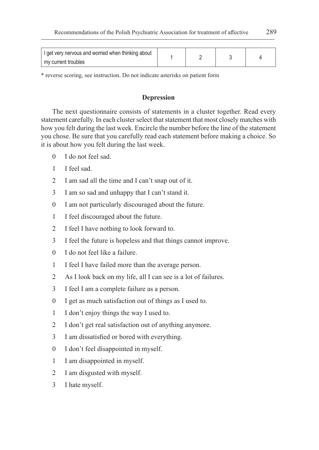| I get very nervous and worried when thinking about |  |  |
|----------------------------------------------------|--|--|
| I my current troubles                              |  |  |

\* reverse scoring, see instruction. Do not indicate asterisks on patient form

## **Depression**

The next questionnaire consists of statements in a cluster together. Read every statement carefully. In each cluster select that statement that most closely matches with how you felt during the last week. Encircle the number before the line of the statement you chose. Be sure that you carefully read each statement before making a choice. So it is about how you felt during the last week.

- I do not feel sad.
- I feel sad.
- I am sad all the time and I can't snap out of it.
- I am so sad and unhappy that I can't stand it.
- I am not particularly discouraged about the future.
- I feel discouraged about the future.
- I feel I have nothing to look forward to.
- I feel the future is hopeless and that things cannot improve.
- I do not feel like a failure.
- I feel I have failed more than the average person.
- As I look back on my life, all I can see is a lot of failures.
- I feel I am a complete failure as a person.
- I get as much satisfaction out of things as I used to.
- I don't enjoy things the way I used to.
- I don't get real satisfaction out of anything anymore.
- I am dissatisfied or bored with everything.
- I don't feel disappointed in myself.
- I am disappointed in myself.
- I am disgusted with myself.
- I hate myself.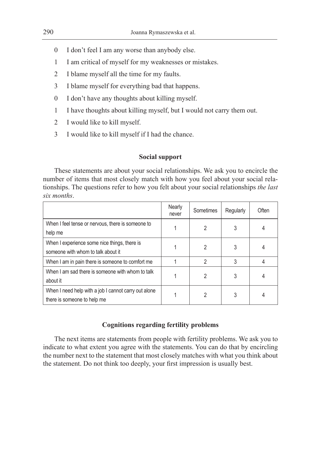- 0 I don't feel I am any worse than anybody else.
- 1 I am critical of myself for my weaknesses or mistakes.
- 2 I blame myself all the time for my faults.
- 3 I blame myself for everything bad that happens.
- 0 I don't have any thoughts about killing myself.
- 1 I have thoughts about killing myself, but I would not carry them out.
- 2 I would like to kill myself.
- 3 I would like to kill myself if I had the chance.

# **Social support**

These statements are about your social relationships. We ask you to encircle the number of items that most closely match with how you feel about your social relationships. The questions refer to how you felt about your social relationships *the last six months*.

|                                                                                     | Nearly<br>never | Sometimes | Regularly | Often |
|-------------------------------------------------------------------------------------|-----------------|-----------|-----------|-------|
| When I feel tense or nervous, there is someone to<br>help me                        |                 |           |           |       |
| When I experience some nice things, there is<br>someone with whom to talk about it  |                 |           |           |       |
| When I am in pain there is someone to comfort me                                    |                 | 2         |           |       |
| When I am sad there is someone with whom to talk<br>about it                        |                 |           |           |       |
| When I need help with a job I cannot carry out alone<br>there is someone to help me |                 |           |           |       |

# **Cognitions regarding fertility problems**

The next items are statements from people with fertility problems. We ask you to indicate to what extent you agree with the statements. You can do that by encircling the number next to the statement that most closely matches with what you think about the statement. Do not think too deeply, your first impression is usually best.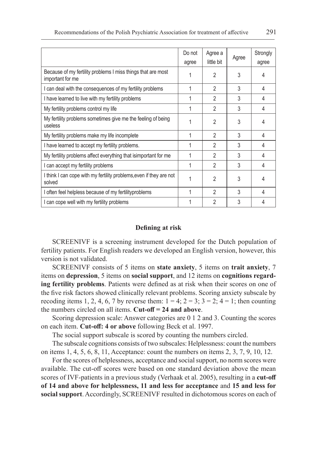|                                                                                  | Do not<br>agree | Agree a<br>little bit | Agree | Strongly<br>agree |
|----------------------------------------------------------------------------------|-----------------|-----------------------|-------|-------------------|
| Because of my fertility problems I miss things that are most<br>important for me |                 | $\mathfrak{p}$        | 3     | 4                 |
| I can deal with the consequences of my fertility problems                        | 1               | 2                     | 3     | 4                 |
| I have learned to live with my fertility problems                                |                 | 2                     | 3     | 4                 |
| My fertility problems control my life                                            | 1               | 2                     | 3     | 4                 |
| My fertility problems sometimes give me the feeling of being<br>useless          |                 | 2                     | 3     | 4                 |
| My fertility problems make my life incomplete                                    |                 | $\mathfrak{p}$        | 3     | 4                 |
| I have learned to accept my fertility problems.                                  |                 | 2                     | 3     | 4                 |
| My fertility problems affect everything that isimportant for me                  |                 | 2                     | 3     | 4                 |
| I can accept my fertility problems                                               |                 | 2                     | 3     | 4                 |
| I think I can cope with my fertility problems,even if they are not<br>solved     |                 | 2                     | 3     | 4                 |
| I often feel helpless because of my fertilityproblems                            |                 | 2                     | 3     | 4                 |
| I can cope well with my fertility problems                                       |                 | 2                     | 3     | 4                 |

#### **Defining at risk**

SCREENIVF is a screening instrument developed for the Dutch population of fertility patients. For English readers we developed an English version, however, this version is not validated.

SCREENIVF consists of 5 items on **state anxiety**, 5 items on **trait anxiety**, 7 items on **depression**, 5 items on **social support**, and 12 items on **cognitions regarding fertility problems**. Patients were defined as at risk when their scores on one of the five risk factors showed clinically relevant problems. Scoring anxiety subscale by recoding items 1, 2, 4, 6, 7 by reverse them:  $1 = 4$ ;  $2 = 3$ ;  $3 = 2$ ;  $4 = 1$ ; then counting the numbers circled on all items. **Cut-off = 24 and above**.

Scoring depression scale: Answer categories are 0 1 2 and 3. Counting the scores on each item. **Cut-off: 4 or above** following Beck et al. 1997.

The social support subscale is scored by counting the numbers circled.

The subscale cognitions consists of two subscales: Helplessness: count the numbers on items 1, 4, 5, 6, 8, 11, Acceptance: count the numbers on items 2, 3, 7, 9, 10, 12.

For the scores of helplessness, acceptance and social support, no norm scores were available. The cut-off scores were based on one standard deviation above the mean scores of IVF-patients in a previous study (Verhaak et al. 2005), resulting in a **cut-off of 14 and above for helplessness, 11 and less for acceptance** and **15 and less for social support**. Accordingly, SCREENIVF resulted in dichotomous scores on each of